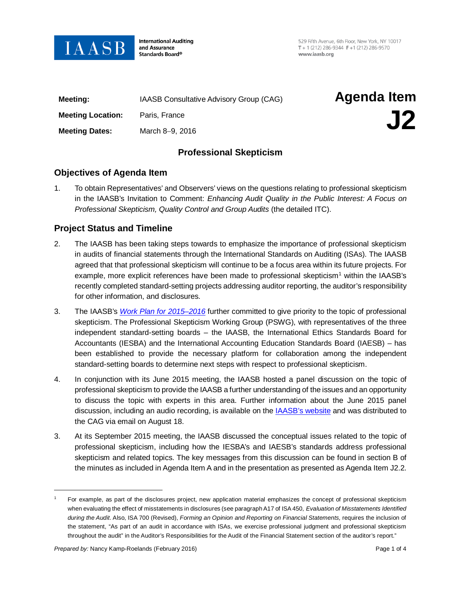

**International Auditing** and Assurance Standards Board®

529 Fifth Avenue, 6th Floor, New York, NY 10017 T + 1 (212) 286-9344  $F + 1$  (212) 286-9570 www.iaasb.org

| Meeting:                 | IAASB Consultative Advisory Group (CAG) | <b>Agenda Item</b> |
|--------------------------|-----------------------------------------|--------------------|
| <b>Meeting Location:</b> | Paris, France                           | J2                 |
| <b>Meeting Dates:</b>    | March 8-9, 2016                         |                    |

# **Professional Skepticism**

## **Objectives of Agenda Item**

1. To obtain Representatives' and Observers' views on the questions relating to professional skepticism in the IAASB's Invitation to Comment: *Enhancing Audit Quality in the Public Interest: A Focus on Professional Skepticism, Quality Control and Group Audits* (the detailed ITC).

# **Project Status and Timeline**

- 2. The IAASB has been taking steps towards to emphasize the importance of professional skepticism in audits of financial statements through the International Standards on Auditing (ISAs). The IAASB agreed that that professional skepticism will continue to be a focus area within its future projects. For example, more explicit references have been made to professional skepticism<sup>[1](#page-0-0)</sup> within the IAASB's recently completed standard-setting projects addressing auditor reporting, the auditor's responsibility for other information, and disclosures.
- 3. The IAASB's *[Work Plan for 2015–2016](http://www.ifac.org/publications-resources/iaasb-work-plan-2015-2016)* further committed to give priority to the topic of professional skepticism. The Professional Skepticism Working Group (PSWG), with representatives of the three independent standard-setting boards – the IAASB, the International Ethics Standards Board for Accountants (IESBA) and the International Accounting Education Standards Board (IAESB) – has been established to provide the necessary platform for collaboration among the independent standard-setting boards to determine next steps with respect to professional skepticism.
- 4. In conjunction with its June 2015 meeting, the IAASB hosted a panel discussion on the topic of professional skepticism to provide the IAASB a further understanding of the issues and an opportunity to discuss the topic with experts in this area. Further information about the June 2015 panel discussion, including an audio recording, is available on the IAASB's website [and was distributed to](http://www.ifac.org/news-events/2015-06/professional-skepticism-panel-discussion)  [the CAG via email on August 18.](http://www.ifac.org/news-events/2015-06/professional-skepticism-panel-discussion)
- 3. At its September 2015 meeting, the IAASB discussed the conceptual issues related to the topic of professional skepticism, including how the IESBA's and IAESB's standards address professional skepticism and related topics. The key messages from this discussion can be found in section B of the minutes as included in Agenda Item A and in the presentation as presented as Agenda Item J2.2.

 $\overline{a}$ 

<span id="page-0-0"></span><sup>1</sup> For example, as part of the disclosures project, new application material emphasizes the concept of professional skepticism when evaluating the effect of misstatements in disclosures (see paragraph A17 of ISA 450, *Evaluation of Misstatements Identified*  during the Audit. Also, ISA 700 (Revised), *Forming an Opinion and Reporting on Financial Statements, requires the inclusion of* the statement, "As part of an audit in accordance with ISAs, we exercise professional judgment and professional skepticism throughout the audit" in the Auditor's Responsibilities for the Audit of the Financial Statement section of the auditor's report."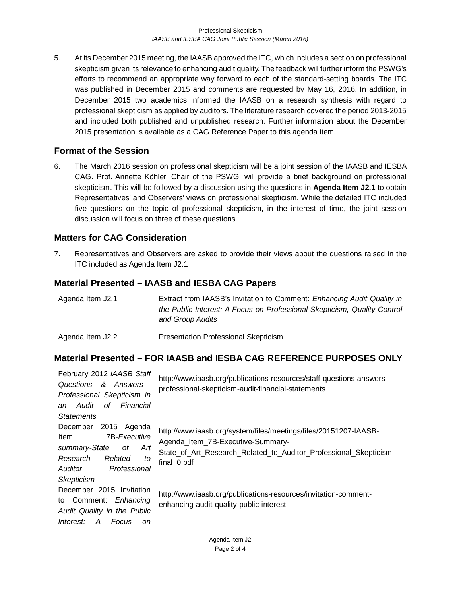5. At its December 2015 meeting, the IAASB approved the ITC, which includes a section on professional skepticism given its relevance to enhancing audit quality. The feedback will further inform the PSWG's efforts to recommend an appropriate way forward to each of the standard-setting boards. The ITC was published in December 2015 and comments are requested by May 16, 2016. In addition, in December 2015 two academics informed the IAASB on a research synthesis with regard to professional skepticism as applied by auditors. The literature research covered the period 2013-2015 and included both published and unpublished research. Further information about the December 2015 presentation is available as a CAG Reference Paper to this agenda item.

# **Format of the Session**

6. The March 2016 session on professional skepticism will be a joint session of the IAASB and IESBA CAG. Prof. Annette Köhler, Chair of the PSWG, will provide a brief background on professional skepticism. This will be followed by a discussion using the questions in **Agenda Item J2.1** to obtain Representatives' and Observers' views on professional skepticism. While the [detailed ITC](http://www.iaasb.org/publications-resources/invitation-comment-enhancing-audit-quality-public-interest) included five questions on the topic of professional skepticism, in the interest of time, the joint session discussion will focus on three of these questions.

# **Matters for CAG Consideration**

7. Representatives and Observers are asked to provide their views about the questions raised in the ITC included as Agenda Item J2.1

# **Material Presented – IAASB and IESBA CAG Papers**

| Agenda Item J2.1 | Extract from IAASB's Invitation to Comment: Enhancing Audit Quality in<br>the Public Interest: A Focus on Professional Skepticism, Quality Control<br>and Group Audits |
|------------------|------------------------------------------------------------------------------------------------------------------------------------------------------------------------|
| Agenda Item J2.2 | Presentation Professional Skepticism                                                                                                                                   |

# **Material Presented – FOR IAASB and IESBA CAG REFERENCE PURPOSES ONLY**

| February 2012 IAASB Staff                                                                                                                           | http://www.iaasb.org/publications-resources/staff-questions-answers-                                                                                                                      |  |
|-----------------------------------------------------------------------------------------------------------------------------------------------------|-------------------------------------------------------------------------------------------------------------------------------------------------------------------------------------------|--|
| Questions &<br>Answers—                                                                                                                             | professional-skepticism-audit-financial-statements                                                                                                                                        |  |
| Professional Skepticism in                                                                                                                          |                                                                                                                                                                                           |  |
| Financial<br>Audit<br>οf<br>an                                                                                                                      |                                                                                                                                                                                           |  |
| <b>Statements</b>                                                                                                                                   |                                                                                                                                                                                           |  |
| December<br>2015 Agenda<br><b>7B-Executive</b><br><b>Item</b><br>summary-State<br>Art<br>оf<br>Research<br>Related<br>to<br>Professional<br>Auditor | http://www.iaasb.org/system/files/meetings/files/20151207-IAASB-<br>Agenda_Item_7B-Executive-Summary-<br>State_of_Art_Research_Related_to_Auditor_Professional_Skepticism-<br>final_0.pdf |  |
| <b>Skepticism</b><br>December 2015 Invitation<br>to Comment:<br>Enhancing<br>Audit Quality in the Public<br>Interest:<br>A<br>Focus<br>on           | http://www.iaasb.org/publications-resources/invitation-comment-<br>enhancing-audit-quality-public-interest                                                                                |  |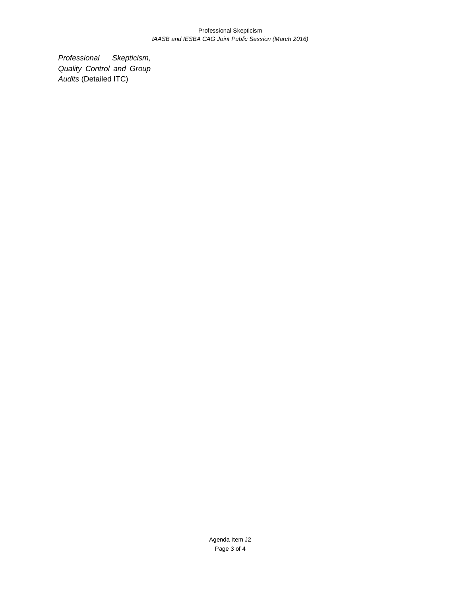#### Professional Skepticism *IAASB and IESBA CAG Joint Public Session (March 2016)*

*Professional Skepticism, Quality Control and Group Audits* (Detailed ITC)

> Agenda Item J2 Page 3 of 4